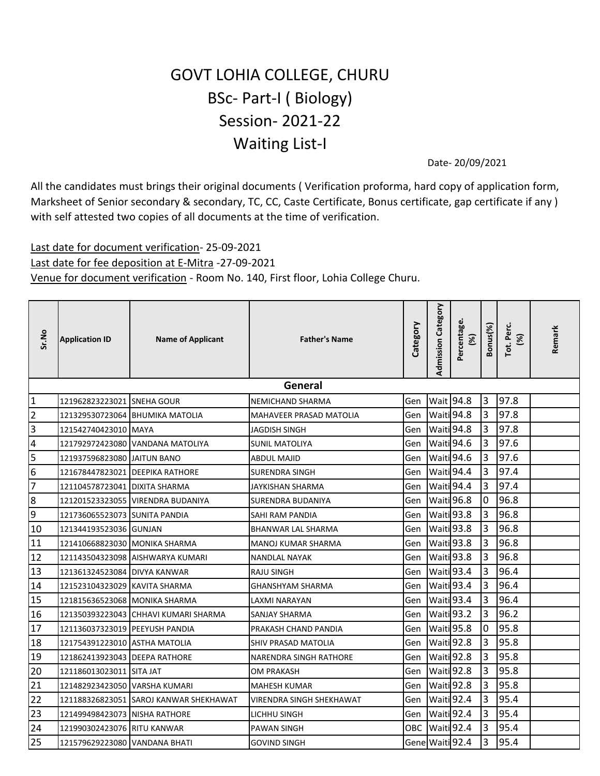## GOVT LOHIA COLLEGE, CHURU BSc- Part-I ( Biology) Session- 2021-22 Waiting List-I

Date- 20/09/2021

All the candidates must brings their original documents ( Verification proforma, hard copy of application form, Marksheet of Senior secondary & secondary, TC, CC, Caste Certificate, Bonus certificate, gap certificate if any ) with self attested two copies of all documents at the time of verification.

## Last date for document verification- 25-09-2021 Last date for fee deposition at E-Mitra -27-09-2021 Venue for document verification - Room No. 140, First floor, Lohia College Churu.

| Sr.No          | <b>Application ID</b>           | <b>Name of Applicant</b>               | <b>Father's Name</b>     | Category | <b>Admission Category</b> | Percentage.<br>(%)    | Bonus(%)       | Tot. Perc.<br>(%) | Remark |
|----------------|---------------------------------|----------------------------------------|--------------------------|----------|---------------------------|-----------------------|----------------|-------------------|--------|
|                |                                 |                                        | General                  |          |                           |                       |                |                   |        |
| $\mathbf 1$    | 121962823223021 SNEHA GOUR      |                                        | NEMICHAND SHARMA         | Gen      |                           | Wait 94.8             | Iз             | 97.8              |        |
| 2              |                                 | 121329530723064 BHUMIKA MATOLIA        | MAHAVEER PRASAD MATOLIA  | Gen      |                           | Waiti 94.8            | $\overline{3}$ | 97.8              |        |
| 3              | 121542740423010 MAYA            |                                        | JAGDISH SINGH            | Gen      |                           | Waiti 94.8            | l3             | 97.8              |        |
| 4              |                                 | 121792972423080 VANDANA MATOLIYA       | SUNIL MATOLIYA           | Gen      |                           | Waiti 94.6            | $\overline{3}$ | 97.6              |        |
| 5              | 121937596823080 JAITUN BANO     |                                        | <b>ABDUL MAJID</b>       | Gen      |                           | Waiti 94.6            | $\overline{3}$ | 97.6              |        |
| 6              |                                 | 121678447823021 DEEPIKA RATHORE        | <b>SURENDRA SINGH</b>    | Gen      | Waiti 94.4                |                       | $\overline{3}$ | 97.4              |        |
| $\overline{7}$ | 121104578723041   DIXITA SHARMA |                                        | JAYKISHAN SHARMA         | Gen      |                           | Waiti 94.4            | 3              | 97.4              |        |
| 8              |                                 | 121201523323055 VIRENDRA BUDANIYA      | <b>SURENDRA BUDANIYA</b> | Gen      |                           | Waiti 96.8            | 0              | 96.8              |        |
| 9              | 121736065523073 SUNITA PANDIA   |                                        | SAHI RAM PANDIA          | Gen      |                           | Waiti 93.8            | l3             | 96.8              |        |
| 10             | 121344193523036 GUNJAN          |                                        | BHANWAR LAL SHARMA       | Gen      |                           | Waiti <sup>93.8</sup> | 3              | 96.8              |        |
| 11             | 121410668823030 MONIKA SHARMA   |                                        | MANOJ KUMAR SHARMA       | Gen      |                           | Waiti 93.8            | $\overline{3}$ | 96.8              |        |
| 12             |                                 | 121143504323098 AISHWARYA KUMARI       | <b>NANDLAL NAYAK</b>     | Gen      |                           | Waiti <sup>93.8</sup> | Iз             | 96.8              |        |
| 13             | 121361324523084 DIVYA KANWAR    |                                        | <b>RAJU SINGH</b>        | Gen      |                           | Waiti 93.4            | $\overline{3}$ | 96.4              |        |
| 14             | 121523104323029 KAVITA SHARMA   |                                        | <b>GHANSHYAM SHARMA</b>  | Gen      |                           | Waiti 93.4            | $\overline{3}$ | 96.4              |        |
| 15             | 121815636523068   MONIKA SHARMA |                                        | LAXMI NARAYAN            | Gen      |                           | Waiti 93.4            | $\overline{3}$ | 96.4              |        |
| 16             |                                 | 121350393223043 CHHAVI KUMARI SHARMA   | SANJAY SHARMA            | Gen      |                           | Waiti <sup>93.2</sup> | $\overline{3}$ | 96.2              |        |
| 17             | 121136037323019 PEEYUSH PANDIA  |                                        | PRAKASH CHAND PANDIA     | Gen      |                           | Waiti 95.8            | Iо             | 95.8              |        |
| 18             | 121754391223010 ASTHA MATOLIA   |                                        | SHIV PRASAD MATOLIA      | Gen      |                           | Waiti 92.8            | 3              | 95.8              |        |
| 19             | 121862413923043 DEEPA RATHORE   |                                        | NARENDRA SINGH RATHORE   | Gen      |                           | Waiti <sup>92.8</sup> | $\overline{3}$ | 95.8              |        |
| 20             | 121186013023011 SITA JAT        |                                        | OM PRAKASH               | Gen      |                           | Waiti 92.8            | l3             | 95.8              |        |
| 21             | 121482923423050 VARSHA KUMARI   |                                        | <b>MAHESH KUMAR</b>      | Gen      |                           | Waiti 92.8            | 3              | 95.8              |        |
| 22             |                                 | 121188326823051 SAROJ KANWAR SHEKHAWAT | VIRENDRA SINGH SHEKHAWAT | Gen      |                           | Waiti 92.4            | $\overline{3}$ | 95.4              |        |
| 23             | 121499498423073 NISHA RATHORE   |                                        | LICHHU SINGH             | Gen      |                           | Waiti 92.4            | l3             | 95.4              |        |
| 24             | 121990302423076 RITU KANWAR     |                                        | PAWAN SINGH              | OBC      |                           | Waiti 92.4            | $\overline{3}$ | 95.4              |        |
| 25             | 121579629223080 VANDANA BHATI   |                                        | GOVIND SINGH             |          | Gene Waiti 92.4           |                       | 3              | 95.4              |        |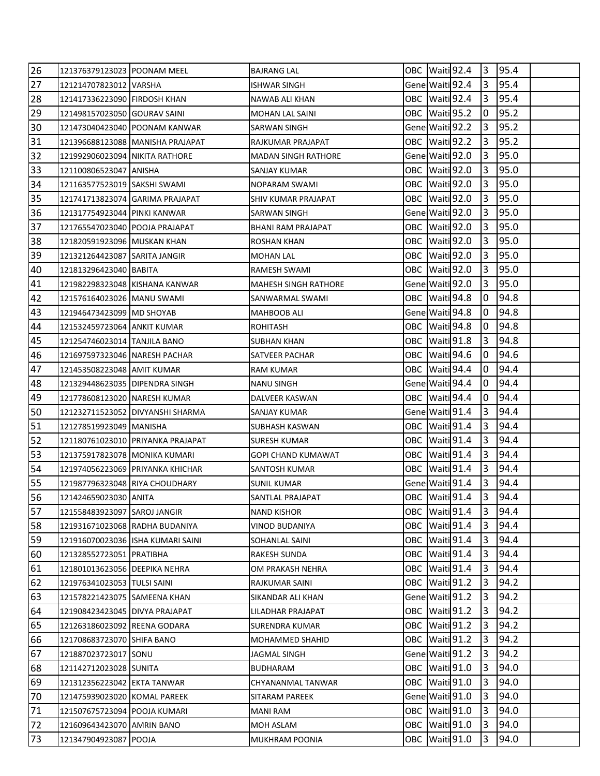| 26 | 121376379123023 POONAM MEEL    |                                   | <b>BAJRANG LAL</b>          |  | OBC Waiti 92.4   | 13             | 95.4 |  |
|----|--------------------------------|-----------------------------------|-----------------------------|--|------------------|----------------|------|--|
| 27 | 121214707823012 VARSHA         |                                   | <b>ISHWAR SINGH</b>         |  | Gene Waiti 92.4  | 3              | 95.4 |  |
| 28 | 121417336223090 FIRDOSH KHAN   |                                   | NAWAB ALI KHAN              |  | OBC Waiti 92.4   | 3              | 95.4 |  |
| 29 | 121498157023050 GOURAV SAINI   |                                   | <b>MOHAN LAL SAINI</b>      |  | OBC Waiti 95.2   | 0              | 95.2 |  |
| 30 |                                | 121473040423040 POONAM KANWAR     | SARWAN SINGH                |  | Gene Waiti 92.2  | I3             | 95.2 |  |
| 31 |                                | 121396688123088 MANISHA PRAJAPAT  | RAJKUMAR PRAJAPAT           |  | OBC Waiti 92.2   | 3              | 95.2 |  |
| 32 | 121992906023094 NIKITA RATHORE |                                   | <b>MADAN SINGH RATHORE</b>  |  | Gene Waiti 92.0  | 3              | 95.0 |  |
| 33 | 121100806523047 ANISHA         |                                   | SANJAY KUMAR                |  | OBC Waiti 92.0   | 3              | 95.0 |  |
| 34 | 121163577523019 SAKSHI SWAMI   |                                   | NOPARAM SWAMI               |  | OBC Waiti 92.0   | 3              | 95.0 |  |
| 35 |                                | 121741713823074 GARIMA PRAJAPAT   | SHIV KUMAR PRAJAPAT         |  | OBC Waiti 92.0   | 13             | 95.0 |  |
| 36 | 121317754923044 PINKI KANWAR   |                                   | SARWAN SINGH                |  | Gene Waiti 92.0  | 3              | 95.0 |  |
| 37 | 121765547023040 POOJA PRAJAPAT |                                   | BHANI RAM PRAJAPAT          |  | OBC Waiti 92.0   | 13             | 95.0 |  |
| 38 | 121820591923096 MUSKAN KHAN    |                                   | ROSHAN KHAN                 |  | OBC   Waiti 92.0 | 13             | 95.0 |  |
| 39 | 121321264423087 SARITA JANGIR  |                                   | <b>MOHAN LAL</b>            |  | OBC Waiti 92.0   | 3              | 95.0 |  |
| 40 | 121813296423040 BABITA         |                                   | RAMESH SWAMI                |  | OBC Waiti 92.0   | 13             | 95.0 |  |
| 41 | 121982298323048 KISHANA KANWAR |                                   | <b>MAHESH SINGH RATHORE</b> |  | Gene Waiti 92.0  | 3              | 95.0 |  |
| 42 | 121576164023026 MANU SWAMI     |                                   | SANWARMAL SWAMI             |  | OBC Waiti 94.8   | 0              | 94.8 |  |
| 43 | 121946473423099 MD SHOYAB      |                                   | MAHBOOB ALI                 |  | Gene Waiti 94.8  | 0              | 94.8 |  |
| 44 | 121532459723064 ANKIT KUMAR    |                                   | <b>ROHITASH</b>             |  | OBC Waiti 94.8   | 0              | 94.8 |  |
| 45 | 121254746023014   TANJILA BANO |                                   | SUBHAN KHAN                 |  | OBC Waiti 91.8   | 3              | 94.8 |  |
| 46 | 121697597323046 NARESH PACHAR  |                                   | SATVEER PACHAR              |  | OBC Waiti 94.6   | IO.            | 94.6 |  |
| 47 | 121453508223048 AMIT KUMAR     |                                   | RAM KUMAR                   |  | OBC Waiti 94.4   | 0              | 94.4 |  |
| 48 | 121329448623035 DIPENDRA SINGH |                                   | <b>NANU SINGH</b>           |  | Gene Waiti 94.4  | 10             | 94.4 |  |
| 49 | 121778608123020 NARESH KUMAR   |                                   | DALVEER KASWAN              |  | OBC Waiti 94.4   | 0              | 94.4 |  |
| 50 |                                | 121232711523052 DIVYANSHI SHARMA  | SANJAY KUMAR                |  | Gene Waiti 91.4  | 3              | 94.4 |  |
| 51 | 121278519923049 MANISHA        |                                   | SUBHASH KASWAN              |  | OBC Waiti 91.4   | 3              | 94.4 |  |
| 52 |                                | 121180761023010 PRIYANKA PRAJAPAT | SURESH KUMAR                |  | OBC Waiti 91.4   | 3              | 94.4 |  |
| 53 | 121375917823078 MONIKA KUMARI  |                                   | <b>GOPI CHAND KUMAWAT</b>   |  | OBC Waiti 91.4   | 3              | 94.4 |  |
| 54 |                                | 121974056223069 PRIYANKA KHICHAR  | SANTOSH KUMAR               |  | OBC Waiti 91.4   | 13             | 94.4 |  |
| 55 | 121987796323048 RIYA CHOUDHARY |                                   | <b>SUNIL KUMAR</b>          |  | Gene Waiti 91.4  | 3              | 94.4 |  |
| 56 | 121424659023030 ANITA          |                                   | SANTLAL PRAJAPAT            |  | OBC Waiti 91.4   | I <sub>3</sub> | 94.4 |  |
| 57 | 121558483923097 SAROJ JANGIR   |                                   | <b>NAND KISHOR</b>          |  | OBC Waiti 91.4   | 3              | 94.4 |  |
| 58 | 121931671023068 RADHA BUDANIYA |                                   | <b>VINOD BUDANIYA</b>       |  | OBC Waiti 91.4   | $\overline{3}$ | 94.4 |  |
| 59 |                                | 121916070023036 ISHA KUMARI SAINI | SOHANLAL SAINI              |  | OBC Waiti 91.4   | 3              | 94.4 |  |
| 60 | 121328552723051 PRATIBHA       |                                   | RAKESH SUNDA                |  | OBC Waiti 91.4   | 3              | 94.4 |  |
| 61 | 121801013623056 DEEPIKA NEHRA  |                                   | OM PRAKASH NEHRA            |  | OBC Waiti 91.4   | 3              | 94.4 |  |
| 62 | 121976341023053 TULSI SAINI    |                                   | RAJKUMAR SAINI              |  | OBC Waiti 91.2   | IЗ             | 94.2 |  |
| 63 | 121578221423075 SAMEENA KHAN   |                                   | SIKANDAR ALI KHAN           |  | Gene Waiti 91.2  | 3              | 94.2 |  |
| 64 | 121908423423045 DIVYA PRAJAPAT |                                   | LILADHAR PRAJAPAT           |  | OBC Waiti 91.2   | 3              | 94.2 |  |
| 65 | 121263186023092 REENA GODARA   |                                   | SURENDRA KUMAR              |  | OBC Waiti 91.2   | $\overline{3}$ | 94.2 |  |
| 66 | 121708683723070 SHIFA BANO     |                                   | MOHAMMED SHAHID             |  | OBC Waiti 91.2   | 3              | 94.2 |  |
| 67 | 121887023723017 SONU           |                                   | <b>JAGMAL SINGH</b>         |  | Gene Waiti 91.2  | 3              | 94.2 |  |
| 68 | 121142712023028 SUNITA         |                                   | BUDHARAM                    |  | OBC Waiti 91.0   | 3              | 94.0 |  |
| 69 | 121312356223042 EKTA TANWAR    |                                   | CHYANANMAL TANWAR           |  | OBC Waiti 91.0   | 3              | 94.0 |  |
| 70 | 121475939023020 KOMAL PAREEK   |                                   | SITARAM PAREEK              |  | Gene Waiti 91.0  | $\overline{3}$ | 94.0 |  |
| 71 | 121507675723094 POOJA KUMARI   |                                   | <b>MANI RAM</b>             |  | OBC Waiti 91.0   | 3              | 94.0 |  |
| 72 | 121609643423070 AMRIN BANO     |                                   | MOH ASLAM                   |  | OBC Waiti 91.0   | $\overline{3}$ | 94.0 |  |
| 73 | 121347904923087 POOJA          |                                   | MUKHRAM POONIA              |  | OBC Waiti 91.0   | 3              | 94.0 |  |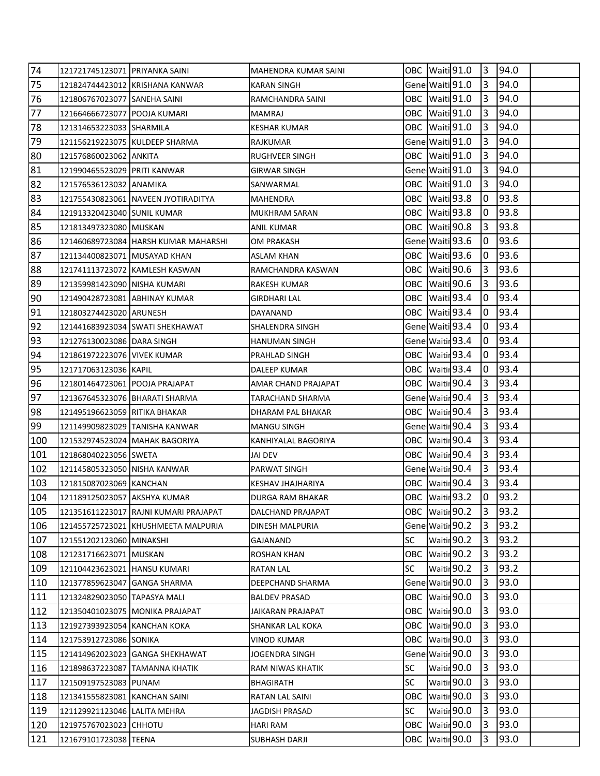| 74  | 121721745123071 PRIYANKA SAINI |                                        | MAHENDRA KUMAR SAINI    |      | OBC Waiti 91.0         | 3              | 94.0 |  |
|-----|--------------------------------|----------------------------------------|-------------------------|------|------------------------|----------------|------|--|
| 75  |                                | 121824744423012 KRISHANA KANWAR        | <b>KARAN SINGH</b>      |      | Gene Waiti 91.0        | 13             | 94.0 |  |
| 76  | 121806767023077 SANEHA SAINI   |                                        | RAMCHANDRA SAINI        |      | OBC Waiti 91.0         | 3              | 94.0 |  |
| 77  | 121664666723077 POOJA KUMARI   |                                        | <b>MAMRAJ</b>           |      | OBC Waiti 91.0         | 3              | 94.0 |  |
| 78  | 121314653223033 SHARMILA       |                                        | <b>KESHAR KUMAR</b>     |      | OBC Waiti 91.0         | l3             | 94.0 |  |
| 79  | 121156219223075 KULDEEP SHARMA |                                        | RAJKUMAR                |      | Gene Waiti 91.0        | 3              | 94.0 |  |
| 80  | 121576860023062 ANKITA         |                                        | RUGHVEER SINGH          |      | OBC Waiti 91.0         | 3              | 94.0 |  |
| 81  | 121990465523029 PRITI KANWAR   |                                        | <b>GIRWAR SINGH</b>     |      | Gene Waiti 91.0        | 3              | 94.0 |  |
| 82  | 121576536123032 ANAMIKA        |                                        | SANWARMAL               |      | OBC Waiti 91.0         | 3              | 94.0 |  |
| 83  |                                | 121755430823061 NAVEEN JYOTIRADITYA    | <b>MAHENDRA</b>         |      | OBC Waiti 93.8         | 10             | 93.8 |  |
| 84  | 121913320423040 SUNIL KUMAR    |                                        | MUKHRAM SARAN           |      | OBC Waiti 93.8         | 10             | 93.8 |  |
| 85  | 121813497323080 MUSKAN         |                                        | ANIL KUMAR              |      | OBC Waiti 90.8         | 13             | 93.8 |  |
| 86  |                                | 121460689723084   HARSH KUMAR MAHARSHI | OM PRAKASH              |      | Gene Waiti 93.6        | 10             | 93.6 |  |
| 87  | 121134400823071 MUSAYAD KHAN   |                                        | ASLAM KHAN              |      | OBC Waiti 93.6         | 0              | 93.6 |  |
| 88  |                                | 121741113723072 KAMLESH KASWAN         | RAMCHANDRA KASWAN       |      | OBC Waiti 90.6         | 3              | 93.6 |  |
| 89  | 121359981423090 NISHA KUMARI   |                                        | RAKESH KUMAR            |      | OBC Waiti 90.6         | 3              | 93.6 |  |
| 90  | 121490428723081 ABHINAY KUMAR  |                                        | GIRDHARI LAL            |      | OBC Waiti 93.4         | 0              | 93.4 |  |
| 91  | 121803274423020 ARUNESH        |                                        | DAYANAND                |      | OBC Waiti 93.4         | 0              | 93.4 |  |
| 92  |                                | 121441683923034 SWATI SHEKHAWAT        | SHALENDRA SINGH         |      | Gene Waiti 93.4        | Io             | 93.4 |  |
| 93  | 121276130023086   DARA SINGH   |                                        | HANUMAN SINGH           |      | Gene Waitir 93.4       | 10             | 93.4 |  |
| 94  | 121861972223076 VIVEK KUMAR    |                                        | PRAHLAD SINGH           |      | OBC Waitir 93.4        | 10.            | 93.4 |  |
| 95  | 121717063123036 KAPIL          |                                        | DALEEP KUMAR            |      | OBC   Waitir 93.4      | 10             | 93.4 |  |
| 96  | 121801464723061 POOJA PRAJAPAT |                                        | AMAR CHAND PRAJAPAT     |      | OBC Waitir 90.4        | 3              | 93.4 |  |
| 97  | 121367645323076 BHARATI SHARMA |                                        | TARACHAND SHARMA        |      | Gene Waitir 90.4       | 13             | 93.4 |  |
| 98  | 121495196623059 RITIKA BHAKAR  |                                        | DHARAM PAL BHAKAR       |      | OBC   Waitin 90.4      | 3              | 93.4 |  |
| 99  | 121149909823029 TANISHA KANWAR |                                        | MANGU SINGH             |      | Gene Waitir 90.4       | 3              | 93.4 |  |
| 100 | 121532974523024 MAHAK BAGORIYA |                                        | KANHIYALAL BAGORIYA     |      | OBC Waitir 90.4        | 3              | 93.4 |  |
| 101 | 121868040223056 SWETA          |                                        | JAI DEV                 |      | OBC Waitir 90.4        | 3              | 93.4 |  |
| 102 | 121145805323050 NISHA KANWAR   |                                        | PARWAT SINGH            |      | Gene Waitir 90.4       | 13             | 93.4 |  |
| 103 | 121815087023069 KANCHAN        |                                        | KESHAV JHAJHARIYA       |      | OBC Waitir 90.4        | 13             | 93.4 |  |
| 104 | 121189125023057 AKSHYA KUMAR   |                                        | <b>DURGA RAM BHAKAR</b> |      | OBC   Waitir 93.2      | $\overline{0}$ | 93.2 |  |
| 105 |                                | 121351611223017 RAJNI KUMARI PRAJAPAT  | DALCHAND PRAJAPAT       |      | OBC Waitir 90.2        | 3              | 93.2 |  |
| 106 |                                | 121455725723021 KHUSHMEETA MALPURIA    | DINESH MALPURIA         |      | Gene Waitir 90.2       | $\overline{3}$ | 93.2 |  |
| 107 | 121551202123060 MINAKSHI       |                                        | GAJANAND                | SC   | Waitir 90.2            | 3              | 93.2 |  |
| 108 | 121231716623071 MUSKAN         |                                        | <b>ROSHAN KHAN</b>      | OBC  | Waitir <sup>90.2</sup> | 3              | 93.2 |  |
| 109 | 121104423623021 HANSU KUMARI   |                                        | <b>RATAN LAL</b>        | SC   | Waitir <sup>90.2</sup> | 3              | 93.2 |  |
| 110 | 121377859623047 GANGA SHARMA   |                                        | DEEPCHAND SHARMA        |      | Gene Waitir 90.0       | 3              | 93.0 |  |
| 111 | 121324829023050 TAPASYA MALI   |                                        | <b>BALDEV PRASAD</b>    |      | OBC Waitir 90.0        | 3              | 93.0 |  |
| 112 |                                | 121350401023075 MONIKA PRAJAPAT        | JAIKARAN PRAJAPAT       |      | OBC Waitir 90.0        | 3              | 93.0 |  |
| 113 | 121927393923054 KANCHAN KOKA   |                                        | SHANKAR LAL KOKA        |      | OBC Waitir 90.0        | $\overline{3}$ | 93.0 |  |
| 114 | 121753912723086 SONIKA         |                                        | <b>VINOD KUMAR</b>      |      | OBC Waitir 90.0        | $\overline{3}$ | 93.0 |  |
| 115 |                                | 121414962023023 GANGA SHEKHAWAT        | JOGENDRA SINGH          |      | Gene Waitir 90.0       | 3              | 93.0 |  |
| 116 | 121898637223087 TAMANNA KHATIK |                                        | RAM NIWAS KHATIK        | SC   | Waitir 90.0            | 3              | 93.0 |  |
| 117 | 121509197523083 PUNAM          |                                        | BHAGIRATH               | SC   | Waitir 90.0            | 3              | 93.0 |  |
| 118 | 121341555823081 KANCHAN SAINI  |                                        | RATAN LAL SAINI         | OBC  | Waitir 90.0            | $\overline{3}$ | 93.0 |  |
| 119 | 121129921123046 LALITA MEHRA   |                                        | JAGDISH PRASAD          | SC   | Waitir 90.0            | 3              | 93.0 |  |
| 120 | 121975767023023 CHHOTU         |                                        | <b>HARI RAM</b>         | OBC. | Waitir 90.0            | $\overline{3}$ | 93.0 |  |
| 121 | 121679101723038 TEENA          |                                        | SUBHASH DARJI           |      | OBC Waitir 90.0        | 3              | 93.0 |  |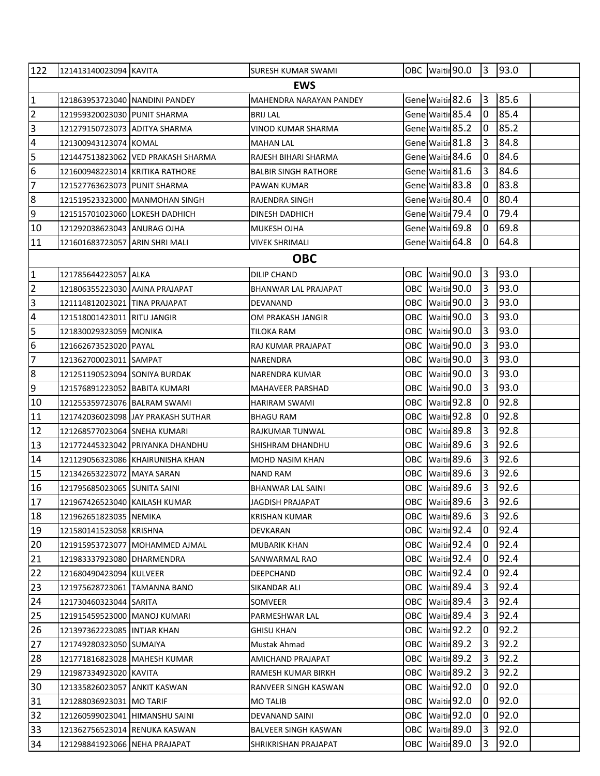| 122             | 121413140023094 KAVITA          |                                    | SURESH KUMAR SWAMI          |       |                  | OBC Waitir 90.0 3 93.0     |                |      |  |
|-----------------|---------------------------------|------------------------------------|-----------------------------|-------|------------------|----------------------------|----------------|------|--|
| <b>EWS</b>      |                                 |                                    |                             |       |                  |                            |                |      |  |
| $\vert$ 1       | 121863953723040 NANDINI PANDEY  |                                    | MAHENDRA NARAYAN PANDEY     |       |                  | Gene Waitir 82.6           | 3              | 85.6 |  |
| $\overline{2}$  | 121959320023030 PUNIT SHARMA    |                                    | <b>BRIJ LAL</b>             |       |                  | Gene Waitir 85.4           | 0              | 85.4 |  |
| 3               | 121279150723073 ADITYA SHARMA   |                                    | <b>VINOD KUMAR SHARMA</b>   |       |                  | Gene Waitir 85.2           | 0              | 85.2 |  |
| $\overline{4}$  | 121300943123074 KOMAL           |                                    | MAHAN LAL                   |       |                  | Gene Waitir 81.8           | 3              | 84.8 |  |
| l5              |                                 | 121447513823062 VED PRAKASH SHARMA | RAJESH BIHARI SHARMA        |       | Gene Waitir 84.6 |                            | 0              | 84.6 |  |
| 6               | 121600948223014 KRITIKA RATHORE |                                    | <b>BALBIR SINGH RATHORE</b> |       | Gene Waitir 81.6 |                            | 3              | 84.6 |  |
| 7               | 121527763623073 PUNIT SHARMA    |                                    | PAWAN KUMAR                 |       | Gene Waitir 83.8 |                            | 0              | 83.8 |  |
| 8               |                                 | 121519523323000 MANMOHAN SINGH     | RAJENDRA SINGH              |       |                  | Gene Waitir 80.4           | 0              | 80.4 |  |
| 9               | 121515701023060 LOKESH DADHICH  |                                    | DINESH DADHICH              |       |                  | Gene Waitir 79.4           | 10             | 79.4 |  |
| 10              | 121292038623043 ANURAG OJHA     |                                    | <b>MUKESH OJHA</b>          |       |                  | Gene Waitir 69.8           | 0              | 69.8 |  |
| 11              | 121601683723057 ARIN SHRI MALI  |                                    | VIVEK SHRIMALI              |       |                  | Gene Waitir 64.8           | 0              | 64.8 |  |
|                 |                                 |                                    | <b>OBC</b>                  |       |                  |                            |                |      |  |
| 1               | 121785644223057 ALKA            |                                    | <b>DILIP CHAND</b>          |       |                  | OBC Waitir 90.0            | l3             | 93.0 |  |
| $\overline{2}$  | 121806355223030 AAINA PRAJAPAT  |                                    | <b>BHANWAR LAL PRAJAPAT</b> |       |                  | OBC Waitir 90.0            | 3              | 93.0 |  |
| $\overline{3}$  | 121114812023021 TINA PRAJAPAT   |                                    | DEVANAND                    | OBC   |                  | Waitir 90.0                | 3              | 93.0 |  |
| 4               | 121518001423011 RITU JANGIR     |                                    | OM PRAKASH JANGIR           |       |                  | OBC Waitir 90.0            | 3              | 93.0 |  |
| 5               | 121830029323059 MONIKA          |                                    | TILOKA RAM                  | OBC   |                  | Waitir 90.0                | 3              | 93.0 |  |
| 6               | 121662673523020 PAYAL           |                                    | RAJ KUMAR PRAJAPAT          |       |                  | OBC Waitir 90.0            | 3              | 93.0 |  |
| 7               | 121362700023011 SAMPAT          |                                    | <b>NARENDRA</b>             |       |                  | OBC Waitir 90.0            | $\overline{3}$ | 93.0 |  |
| 8               | 121251190523094  SONIYA BURDAK  |                                    | NARENDRA KUMAR              |       |                  | OBC Waitir 90.0            | 3              | 93.0 |  |
| $\overline{9}$  | 121576891223052 BABITA KUMARI   |                                    | MAHAVEER PARSHAD            |       |                  | OBC Waitir 90.0            | 3              | 93.0 |  |
| 10              | 121255359723076 BALRAM SWAMI    |                                    | HARIRAM SWAMI               |       | OBC Waitir 92.8  |                            | 10             | 92.8 |  |
| 11              |                                 | 121742036023098 JAY PRAKASH SUTHAR | <b>BHAGU RAM</b>            |       | OBC Waitir 92.8  |                            | 0              | 92.8 |  |
| 12              | 121268577023064 SNEHA KUMARI    |                                    | RAJKUMAR TUNWAL             |       | OBC Waitir 89.8  |                            | <sub>3</sub>   | 92.8 |  |
| 13              |                                 | 121772445323042 PRIYANKA DHANDHU   | SHISHRAM DHANDHU            |       | OBC Waitir 89.6  |                            | 3              | 92.6 |  |
| 14              |                                 | 121129056323086 KHAIRUNISHA KHAN   | MOHD NASIM KHAN             |       | OBC Waitir 89.6  |                            | 3              | 92.6 |  |
| 15              | 121342653223072 MAYA SARAN      |                                    | <b>NAND RAM</b>             |       |                  | OBC Waitir <sup>89.6</sup> | l3.            | 92.6 |  |
| 16              | 121795685023065 SUNITA SAINI    |                                    | <b>BHANWAR LAL SAINI</b>    |       |                  | OBC Waitir 89.6            | 3              | 92.6 |  |
| $\overline{17}$ | 121967426523040 KAILASH KUMAR   |                                    | <b>JAGDISH PRAJAPAT</b>     |       |                  | OBC Waitir 89.6            | $\vert$ 3      | 92.6 |  |
| 18              | 121962651823035 NEMIKA          |                                    | KRISHAN KUMAR               | OBC   |                  | Waitir <sup>89.6</sup>     | 3              | 92.6 |  |
| 19              | 121580141523058 KRISHNA         |                                    | DEVKARAN                    |       |                  | OBC Waitir 92.4            | 10             | 92.4 |  |
| 20              |                                 | 121915953723077 MOHAMMED AJMAL     | MUBARIK KHAN                | ОВС   |                  | Waitir 92.4                | 0              | 92.4 |  |
| 21              | 121983337923080 DHARMENDRA      |                                    | SANWARMAL RAO               | OBC   |                  | Waitir 92.4                | 10             | 92.4 |  |
| 22              | 121680490423094 KULVEER         |                                    | DEEPCHAND                   | OBC.  |                  | Waitir 92.4                | 0              | 92.4 |  |
| 23              | 121975628723061 TAMANNA BANO    |                                    | SIKANDAR ALI                | OBC   |                  | Waitir <sub>89.4</sub>     | IЗ             | 92.4 |  |
| 24              | 121730460323044 SARITA          |                                    | SOMVEER                     | OBC   |                  | Waitir <sub>89.4</sub>     | l3             | 92.4 |  |
| 25              | 121915459523000 MANOJ KUMARI    |                                    | PARMESHWAR LAL              | OBC.  |                  | Waitir <sub>89.4</sub>     | IЗ             | 92.4 |  |
| 26              | 121397362223085 INTJAR KHAN     |                                    | GHISU KHAN                  |       |                  | OBC Waitir 92.2            | 10             | 92.2 |  |
| 27              | 121749280323050 SUMAIYA         |                                    | Mustak Ahmad                | OBC I |                  | Waitir <sub>89.2</sub>     | 3              | 92.2 |  |
| 28              | 121771816823028 MAHESH KUMAR    |                                    | AMICHAND PRAJAPAT           | OBC   |                  | Waitir <sub>89.2</sub>     | 3              | 92.2 |  |
| 29              | 121987334923020 KAVITA          |                                    | RAMESH KUMAR BIRKH          | OBC   |                  | Waitir <sub>89.2</sub>     | 3              | 92.2 |  |
| 30              | 121335826023057 ANKIT KASWAN    |                                    | RANVEER SINGH KASWAN        | OBC   |                  | Waitir 92.0                | 0              | 92.0 |  |
| 31              | 121288036923031   MO TARIF      |                                    | MO TALIB                    | OBC   |                  | Waitir 92.0                | 10             | 92.0 |  |
| 32              | 121260599023041 HIMANSHU SAINI  |                                    | DEVANAND SAINI              |       |                  | OBC Waitir 92.0            | 0              | 92.0 |  |
| 33              | 121362756523014 RENUKA KASWAN   |                                    | <b>BALVEER SINGH KASWAN</b> |       |                  | OBC Waitir 89.0            | 3              | 92.0 |  |
| 34              | 121298841923066 NEHA PRAJAPAT   |                                    | SHRIKRISHAN PRAJAPAT        | OBC   |                  | Waitir 89.0                | 3              | 92.0 |  |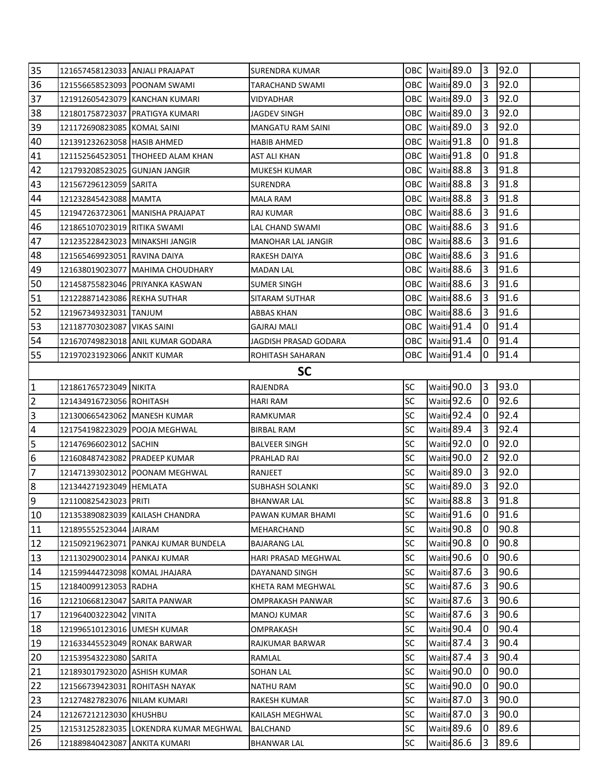| 35             | 121657458123033 ANJALI PRAJAPAT   |                                        | SURENDRA KUMAR          |                 |                        | OBC Waitir <sup>89.0</sup> | 13             | 92.0 |  |
|----------------|-----------------------------------|----------------------------------------|-------------------------|-----------------|------------------------|----------------------------|----------------|------|--|
| 36             | 121556658523093 POONAM SWAMI      |                                        | TARACHAND SWAMI         |                 |                        | OBC Waitir 89.0            | 3              | 92.0 |  |
| 37             |                                   | 121912605423079 KANCHAN KUMARI         | VIDYADHAR               |                 |                        | OBC Waitir 89.0            | 13             | 92.0 |  |
| 38             |                                   | 121801758723037 PRATIGYA KUMARI        | JAGDEV SINGH            | OBC Waitin 89.0 |                        |                            | 3              | 92.0 |  |
| 39             | 121172690823085 KOMAL SAINI       |                                        | MANGATU RAM SAINI       |                 |                        | OBC   Waitir 89.0          | 3              | 92.0 |  |
| 40             | 121391232623058 HASIB AHMED       |                                        | <b>HABIB AHMED</b>      |                 |                        | OBC Waitir 91.8            | 10.            | 91.8 |  |
| 41             |                                   | 121152564523051 THOHEED ALAM KHAN      | AST ALI KHAN            |                 |                        | OBC Waitir 91.8            | 10             | 91.8 |  |
| 42             | 121793208523025 GUNJAN JANGIR     |                                        | <b>MUKESH KUMAR</b>     |                 | OBC Waitir 88.8        |                            | 3              | 91.8 |  |
| 43             | 121567296123059 SARITA            |                                        | <b>SURENDRA</b>         | OBC Waitin 88.8 |                        |                            | 3              | 91.8 |  |
| 44             | 121232845423088 MAMTA             |                                        | MALA RAM                |                 |                        | OBC Waitir 88.8            | 3              | 91.8 |  |
| 45             |                                   | 121947263723061 MANISHA PRAJAPAT       | RAJ KUMAR               |                 | OBC Waitir 88.6        |                            | 3              | 91.6 |  |
| 46             | 121865107023019 RITIKA SWAMI      |                                        | LAL CHAND SWAMI         |                 |                        | OBC Waitir 88.6            | 3              | 91.6 |  |
| 47             | 121235228423023   MINAKSHI JANGIR |                                        | MANOHAR LAL JANGIR      |                 | OBC Waitir 88.6        |                            | 3              | 91.6 |  |
| 48             | 121565469923051 RAVINA DAIYA      |                                        | RAKESH DAIYA            |                 |                        | OBC Waitir 88.6            | 3              | 91.6 |  |
| 49             |                                   | 121638019023077 MAHIMA CHOUDHARY       | MADAN LAL               |                 | OBC Waitir 88.6        |                            | 3              | 91.6 |  |
| 50             |                                   | 121458755823046 PRIYANKA KASWAN        | <b>SUMER SINGH</b>      |                 |                        | OBC Waitir 88.6            | 3              | 91.6 |  |
| 51             | 121228871423086 REKHA SUTHAR      |                                        | SITARAM SUTHAR          |                 |                        | OBC Waitir 88.6            | 13.            | 91.6 |  |
| 52             | 121967349323031 TANJUM            |                                        | ABBAS KHAN              |                 | OBC Waitin 88.6        |                            | 3              | 91.6 |  |
| 53             | 121187703023087 VIKAS SAINI       |                                        | <b>GAJRAJ MALI</b>      |                 |                        | OBC Waitir 91.4            | 10             | 91.4 |  |
| 54             |                                   | 121670749823018 ANIL KUMAR GODARA      | JAGDISH PRASAD GODARA   |                 |                        | OBC Waitir 91.4            | 10.            | 91.4 |  |
| 55             | 121970231923066 ANKIT KUMAR       |                                        | <b>ROHITASH SAHARAN</b> |                 |                        | OBC Waitir 91.4            | 10             | 91.4 |  |
|                |                                   |                                        | <b>SC</b>               |                 |                        |                            |                |      |  |
| $\mathbf{1}$   | 121861765723049 NIKITA            |                                        | RAJENDRA                | <b>SC</b>       |                        | Waitir <sup>90.0</sup>     | 3              | 93.0 |  |
| $\overline{2}$ | 121434916723056 ROHITASH          |                                        | <b>HARI RAM</b>         | <b>SC</b>       |                        | Waitir 92.6                | 10             | 92.6 |  |
| 3              | 121300665423062 MANESH KUMAR      |                                        | RAMKUMAR                | <b>SC</b>       |                        | Waitir 92.4                | 10             | 92.4 |  |
| 4              | 121754198223029 POOJA MEGHWAL     |                                        | BIRBAL RAM              | <b>SC</b>       |                        | Waitir 89.4                | 3              | 92.4 |  |
| 5              | 121476966023012 SACHIN            |                                        | <b>BALVEER SINGH</b>    | SC              |                        | Waitir 92.0                | 0              | 92.0 |  |
| 6              | 121608487423082 PRADEEP KUMAR     |                                        | PRAHLAD RAI             | <b>SC</b>       |                        | Waitir 90.0                | $\overline{2}$ | 92.0 |  |
| $\overline{7}$ |                                   | 121471393023012 POONAM MEGHWAL         | RANJEET                 | <b>SC</b>       |                        | Waitir <sup>89.0</sup>     | 3              | 92.0 |  |
| 8              | 121344271923049 HEMLATA           |                                        | SUBHASH SOLANKI         | <b>SC</b>       |                        | Waitir 89.0                | l3.            | 92.0 |  |
| l9             | 121100825423023 PRITI             |                                        | <b>BHANWAR LAL</b>      | <b>SC</b>       | Waitir <sub>88.8</sub> |                            | l3             | 91.8 |  |
| 10             |                                   | 121353890823039 KAILASH CHANDRA        | PAWAN KUMAR BHAMI       | <b>SC</b>       |                        | Waitir 91.6                | 10             | 91.6 |  |
| 11             | 121895552523044 JAIRAM            |                                        | MEHARCHAND              | SC              |                        | Waitir 90.8                | 10             | 90.8 |  |
| 12             |                                   | 121509219623071 PANKAJ KUMAR BUNDELA   | <b>BAJARANG LAL</b>     | SC              |                        | Waitir 90.8                | 0              | 90.8 |  |
| 13             | 121130290023014 PANKAJ KUMAR      |                                        | HARI PRASAD MEGHWAL     | <b>SC</b>       |                        | Waitir 90.6                | 0              | 90.6 |  |
| 14             | 121599444723098 KOMAL JHAJARA     |                                        | DAYANAND SINGH          | <b>SC</b>       |                        | Waitir 87.6                | 3              | 90.6 |  |
| 15             | 121840099123053 RADHA             |                                        | KHETA RAM MEGHWAL       | <b>SC</b>       |                        | Waitir <sub>87.6</sub>     | 13             | 90.6 |  |
| 16             | 121210668123047 SARITA PANWAR     |                                        | OMPRAKASH PANWAR        | SC              |                        | Waitir 87.6                | 3              | 90.6 |  |
| 17             | 121964003223042 VINITA            |                                        | <b>MANOJ KUMAR</b>      | <b>SC</b>       |                        | Waitir <sup>87.6</sup>     | 3              | 90.6 |  |
| 18             | 121996510123016 UMESH KUMAR       |                                        | OMPRAKASH               | SC              |                        | Waitir 90.4                | 0              | 90.4 |  |
| 19             | 121633445523049 RONAK BARWAR      |                                        | RAJKUMAR BARWAR         | SC              |                        | Waitir 87.4                | 3              | 90.4 |  |
| 20             | 121539543223080 SARITA            |                                        | RAMLAL                  | <b>SC</b>       |                        | Waitir <sub>87.4</sub>     | 3              | 90.4 |  |
| 21             | 121893017923020 ASHISH KUMAR      |                                        | SOHAN LAL               | SC              |                        | Waitir 90.0                | 10             | 90.0 |  |
| 22             | 121566739423031 ROHITASH NAYAK    |                                        | NATHU RAM               | <b>SC</b>       |                        | Waitir 90.0                | 0              | 90.0 |  |
| 23             | 121274827823076 NILAM KUMARI      |                                        | RAKESH KUMAR            | <b>SC</b>       |                        | Waitir <sub>87.0</sub>     | 3              | 90.0 |  |
| 24             | 121267212123030 KHUSHBU           |                                        | KAILASH MEGHWAL         | SC              |                        | Waitir 87.0                | 3              | 90.0 |  |
| 25             |                                   | 121531252823035 LOKENDRA KUMAR MEGHWAL | BALCHAND                | <b>SC</b>       |                        | Waitir <sup>89.6</sup>     | 0              | 89.6 |  |
| 26             | 121889840423087 ANKITA KUMARI     |                                        | <b>BHANWAR LAL</b>      | <b>SC</b>       |                        | Waitir 86.6                | 3              | 89.6 |  |